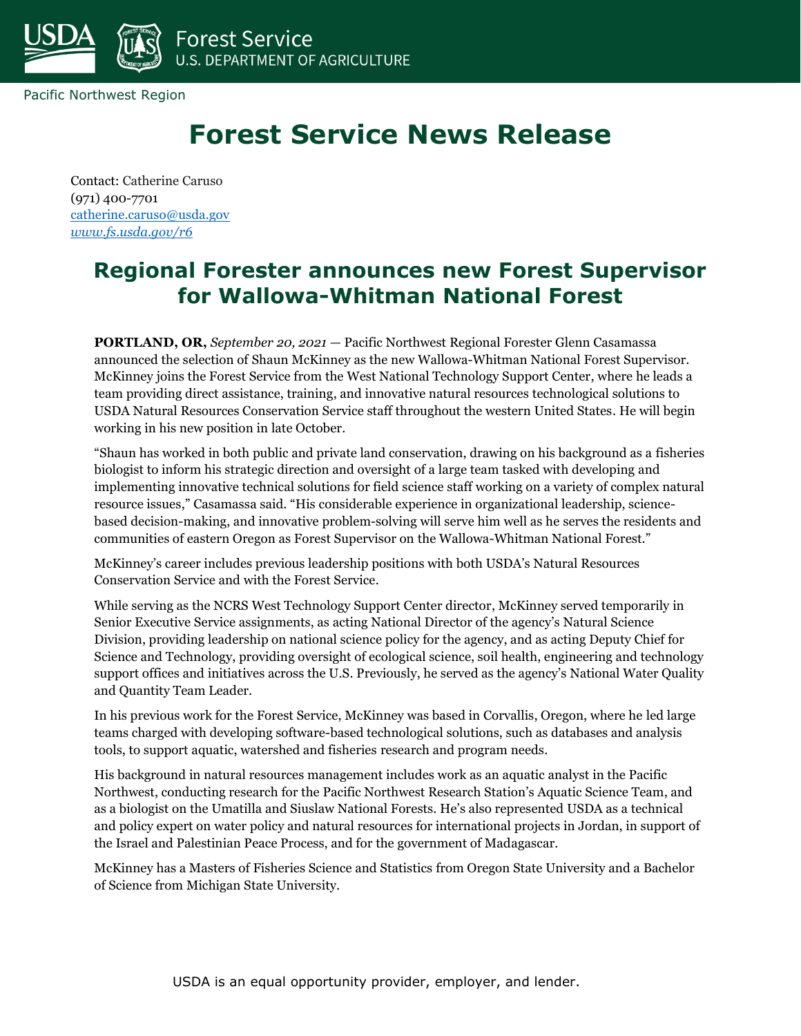

Pacific Northwest Region

## **Forest Service News Release**

Contact: Catherine Caruso (971) 400-7701 [catherine.caruso@usda.gov](mailto:catherine.caruso@usda.gov) *[www.fs.usda.gov/r6](http://www.fs.usda.gov/r6)*

## **Regional Forester announces new Forest Supervisor for Wallowa-Whitman National Forest**

**PORTLAND, OR,** *September 20, 2021* — Pacific Northwest Regional Forester Glenn Casamassa announced the selection of Shaun McKinney as the new Wallowa-Whitman National Forest Supervisor. McKinney joins the Forest Service from the West National Technology Support Center, where he leads a team providing direct assistance, training, and innovative natural resources technological solutions to USDA Natural Resources Conservation Service staff throughout the western United States. He will begin working in his new position in late October.

"Shaun has worked in both public and private land conservation, drawing on his background as a fisheries biologist to inform his strategic direction and oversight of a large team tasked with developing and implementing innovative technical solutions for field science staff working on a variety of complex natural resource issues," Casamassa said. "His considerable experience in organizational leadership, sciencebased decision-making, and innovative problem-solving will serve him well as he serves the residents and communities of eastern Oregon as Forest Supervisor on the Wallowa-Whitman National Forest."

McKinney's career includes previous leadership positions with both USDA's Natural Resources Conservation Service and with the Forest Service.

While serving as the NCRS West Technology Support Center director, McKinney served temporarily in Senior Executive Service assignments, as acting National Director of the agency's Natural Science Division, providing leadership on national science policy for the agency, and as acting Deputy Chief for Science and Technology, providing oversight of ecological science, soil health, engineering and technology support offices and initiatives across the U.S. Previously, he served as the agency's National Water Quality and Quantity Team Leader.

In his previous work for the Forest Service, McKinney was based in Corvallis, Oregon, where he led large teams charged with developing software-based technological solutions, such as databases and analysis tools, to support aquatic, watershed and fisheries research and program needs.

His background in natural resources management includes work as an aquatic analyst in the Pacific Northwest, conducting research for the Pacific Northwest Research Station's Aquatic Science Team, and as a biologist on the Umatilla and Siuslaw National Forests. He's also represented USDA as a technical and policy expert on water policy and natural resources for international projects in Jordan, in support of the Israel and Palestinian Peace Process, and for the government of Madagascar.

McKinney has a Masters of Fisheries Science and Statistics from Oregon State University and a Bachelor of Science from Michigan State University.